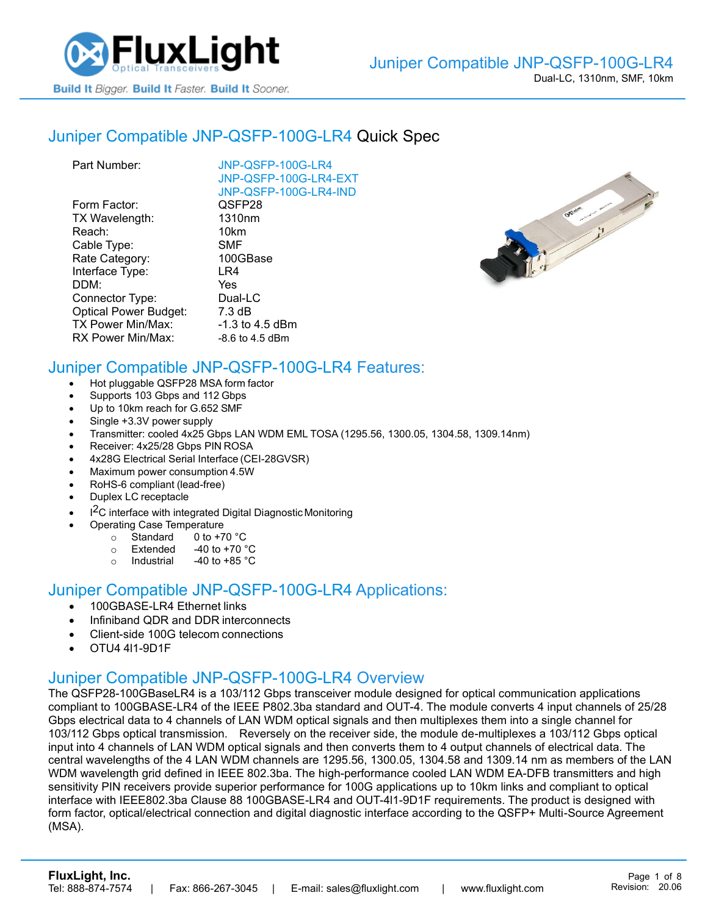

#### Juniper [Compatible JNP-QSFP-100G-LR4](https://www.fluxlight.com/jnp-qsfp-100g-lr4/) Quick Spec

| JNP-QSFP-100G-LR4<br>JNP-QSFP-100G-LR4-EXT<br>JNP-QSFP-100G-LR4-IND |
|---------------------------------------------------------------------|
| QSFP28                                                              |
| 1310 <sub>nm</sub>                                                  |
| 10km                                                                |
| <b>SMF</b>                                                          |
| 100GBase                                                            |
| LR4                                                                 |
| Yes                                                                 |
| Dual-LC                                                             |
| $7.3 \text{ dB}$                                                    |
| -1.3 to 4.5 dBm                                                     |
| $-8.6$ to 4.5 dBm                                                   |
|                                                                     |



# Juniper Compatible [JNP-QSFP-100G-LR4](https://www.fluxlight.com/jnp-qsfp-100g-lr4/) Features:

- Hot pluggable QSFP28 MSA form factor
- Supports 103 Gbps and 112 Gbps
- Up to 10km reach for G.652 SMF
- Single +3.3V power supply
- Transmitter: cooled 4x25 Gbps LAN WDM EML TOSA (1295.56, 1300.05, 1304.58, 1309.14nm)
- Receiver: 4x25/28 Gbps PIN ROSA
- 4x28G Electrical Serial Interface (CEI-28GVSR)
- Maximum power consumption 4.5W
- RoHS-6 compliant (lead-free)
- Duplex LC receptacle
- I<sup>2</sup>C interface with integrated Digital Diagnostic Monitoring
	- Operating Case Temperature
		- o Standard 0 to +70 °C
		- $\circ$  Extended -40 to +70  $\degree$ C
		- o Industrial  $-40$  to  $+85$  °C

#### Juniper Compatible [JNP-QSFP-100G-LR4](https://www.fluxlight.com/jnp-qsfp-100g-lr4/) Applications:

- 100GBASE-LR4 Ethernet links
- Infiniband QDR and DDR interconnects
- Client-side 100G telecom connections
- OTU4 4l1-9D1F

#### Juniper Compatible [JNP-QSFP-100G-LR4](https://www.fluxlight.com/jnp-qsfp-100g-lr4/) Overview

The QSFP28-100GBaseLR4 is a 103/112 Gbps transceiver module designed for optical communication applications compliant to 100GBASE-LR4 of the IEEE P802.3ba standard and OUT-4. The module converts 4 input channels of 25/28 Gbps electrical data to 4 channels of LAN WDM optical signals and then multiplexes them into a single channel for 103/112 Gbps optical transmission. Reversely on the receiver side, the module de-multiplexes a 103/112 Gbps optical input into 4 channels of LAN WDM optical signals and then converts them to 4 output channels of electrical data. The central wavelengths of the 4 LAN WDM channels are 1295.56, 1300.05, 1304.58 and 1309.14 nm as members of the LAN WDM wavelength grid defined in IEEE 802.3ba. The high-performance cooled LAN WDM EA-DFB transmitters and high sensitivity PIN receivers provide superior performance for 100G applications up to 10km links and compliant to optical interface with IEEE802.3ba Clause 88 100GBASE-LR4 and OUT-4l1-9D1F requirements. The product is designed with form factor, optical/electrical connection and digital diagnostic interface according to the QSFP+ Multi-Source Agreement (MSA).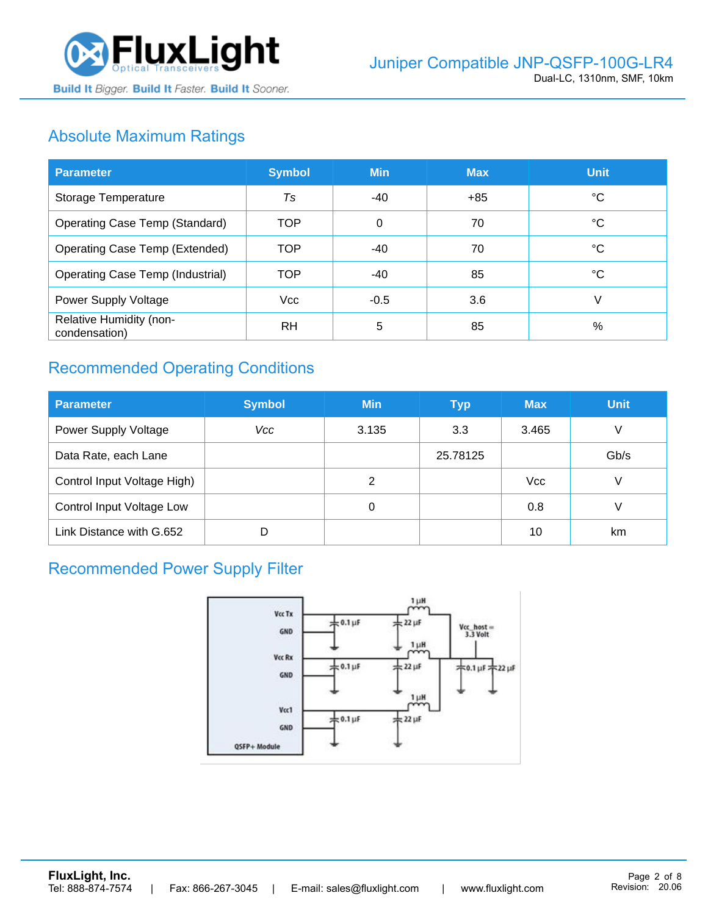

# Absolute Maximum Ratings

| <b>Parameter</b>                         | <b>Symbol</b> | <b>Min</b> | <b>Max</b> | <b>Unit</b> |
|------------------------------------------|---------------|------------|------------|-------------|
| Storage Temperature                      | Ts            | -40        | +85        | °C          |
| Operating Case Temp (Standard)           | TOP           | 0          | 70         | °C          |
| Operating Case Temp (Extended)           | <b>TOP</b>    | $-40$      | 70         | °C          |
| Operating Case Temp (Industrial)         | <b>TOP</b>    | $-40$      | 85         | °C          |
| Power Supply Voltage                     | Vcc           | $-0.5$     | 3.6        | V           |
| Relative Humidity (non-<br>condensation) | RH            | 5          | 85         | %           |

# Recommended Operating Conditions

| <b>Parameter</b>                 | <b>Symbol</b> | <b>Min</b> | <b>Typ</b> | <b>Max</b> | <b>Unit</b> |
|----------------------------------|---------------|------------|------------|------------|-------------|
| Power Supply Voltage             | Vcc           | 3.135      | 3.3        | 3.465      | V           |
| Data Rate, each Lane             |               |            | 25.78125   |            | Gb/s        |
| Control Input Voltage High)      |               | 2          |            | <b>Vcc</b> | V           |
| <b>Control Input Voltage Low</b> |               | 0          |            | 0.8        | V           |
| Link Distance with G.652         | D             |            |            | 10         | km          |

# Recommended Power Supply Filter

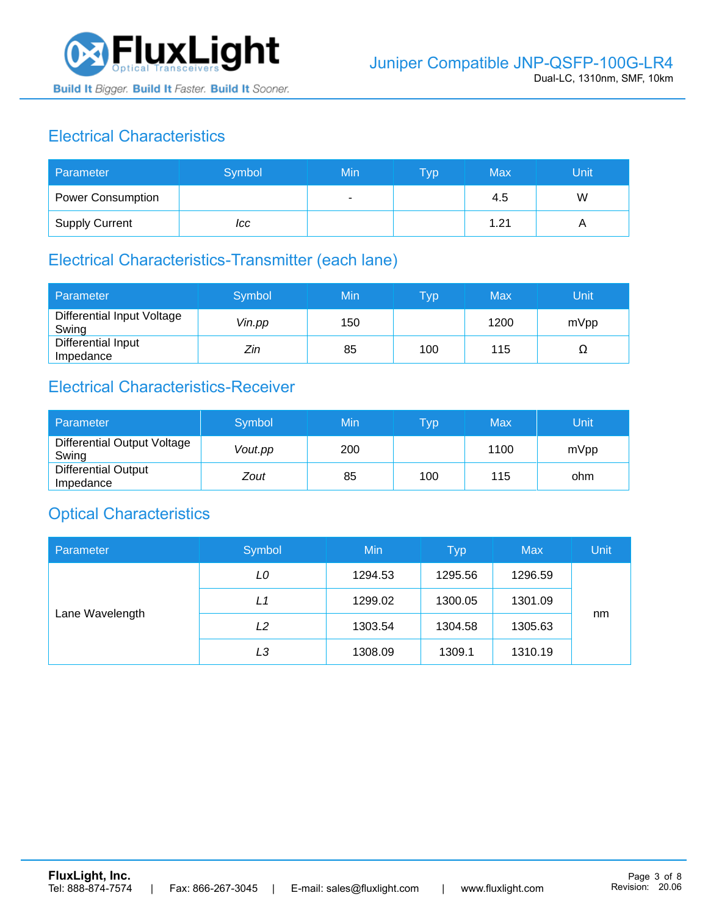

# Electrical Characteristics

| Parameter                | Symbol | Min | <b>Typ</b> | Max  | Unit |
|--------------------------|--------|-----|------------|------|------|
| <b>Power Consumption</b> |        | ۰   |            | 4.5  | W    |
| <b>Supply Current</b>    | ICC    |     |            | 1.21 |      |

### Electrical Characteristics-Transmitter (each lane)

| Parameter                           | Symbol | Min | $\overline{\mathsf{T}}\mathsf{y}\mathsf{p}$ | Max  | Unit |
|-------------------------------------|--------|-----|---------------------------------------------|------|------|
| Differential Input Voltage<br>Swing | Vin.pp | 150 |                                             | 1200 | mVpp |
| Differential Input<br>Impedance     | Zin    | 85  | 100                                         | 115  | 77   |

# Electrical Characteristics-Receiver

| Parameter                               | Symbol  | Min | Typ | Max  | Unit |
|-----------------------------------------|---------|-----|-----|------|------|
| Differential Output Voltage<br>Swing    | Vout.pp | 200 |     | 1100 | mVpp |
| <b>Differential Output</b><br>Impedance | Zout    | 85  | 100 | 115  | ohm  |

### Optical Characteristics

| Parameter       | Symbol | Min     | <b>Typ</b> | <b>Max</b> | Unit |
|-----------------|--------|---------|------------|------------|------|
| Lane Wavelength | LO     | 1294.53 | 1295.56    | 1296.59    |      |
|                 | L1     | 1299.02 | 1300.05    | 1301.09    |      |
|                 | L2     | 1303.54 | 1304.58    | 1305.63    | nm   |
|                 | LЗ     | 1308.09 | 1309.1     | 1310.19    |      |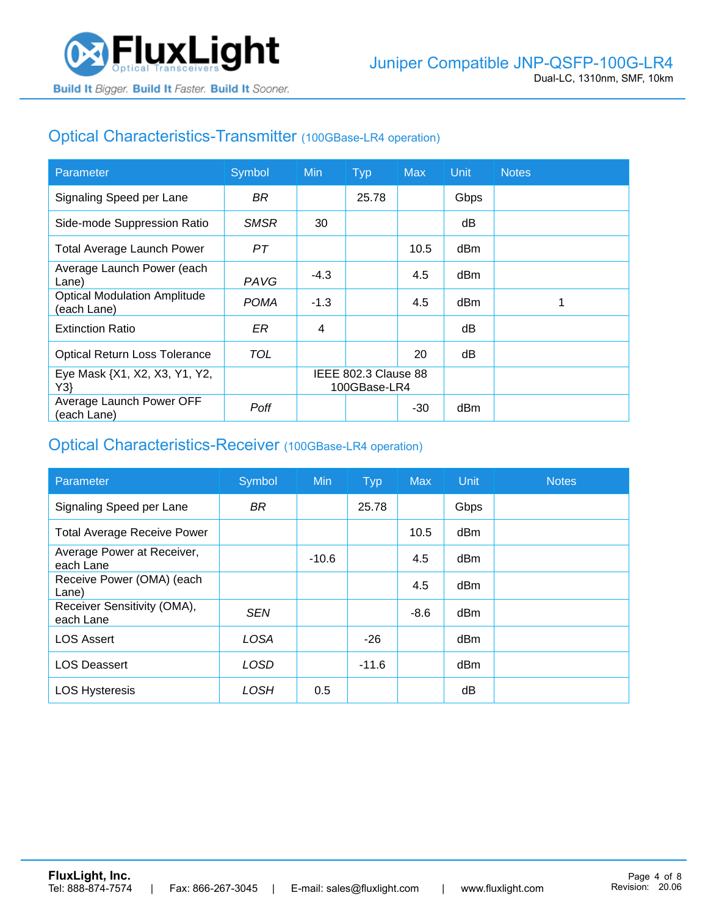

### Optical Characteristics-Transmitter (100GBase-LR4 operation)

| Parameter                                          | Symbol      | <b>Min</b>                           | <b>Typ</b> | <b>Max</b> | Unit | <b>Notes</b> |
|----------------------------------------------------|-------------|--------------------------------------|------------|------------|------|--------------|
| Signaling Speed per Lane                           | BR.         |                                      | 25.78      |            | Gbps |              |
| Side-mode Suppression Ratio                        | <b>SMSR</b> | 30                                   |            |            | dB   |              |
| <b>Total Average Launch Power</b>                  | PТ          |                                      |            | 10.5       | dBm  |              |
| Average Launch Power (each<br>Lane)                | PAVG        | $-4.3$                               |            | 4.5        | dBm  |              |
| <b>Optical Modulation Amplitude</b><br>(each Lane) | <b>POMA</b> | $-1.3$                               |            | 4.5        | dBm  |              |
| <b>Extinction Ratio</b>                            | ER          | 4                                    |            |            | dВ   |              |
| <b>Optical Return Loss Tolerance</b>               | TOL         |                                      |            | 20         | dB   |              |
| Eye Mask {X1, X2, X3, Y1, Y2,<br>Y3                |             | IEEE 802.3 Clause 88<br>100GBase-LR4 |            |            |      |              |
| Average Launch Power OFF<br>(each Lane)            | Poff        |                                      |            | $-30$      | dBm  |              |

#### Optical Characteristics-Receiver (100GBase-LR4 operation)

| Parameter                                | Symbol      | <b>Min</b> | <b>Typ</b> | <b>Max</b> | Unit            | <b>Notes</b> |
|------------------------------------------|-------------|------------|------------|------------|-----------------|--------------|
| Signaling Speed per Lane                 | <b>BR</b>   |            | 25.78      |            | Gbps            |              |
| <b>Total Average Receive Power</b>       |             |            |            | 10.5       | dBm             |              |
| Average Power at Receiver,<br>each Lane  |             | $-10.6$    |            | 4.5        | dBm             |              |
| Receive Power (OMA) (each<br>Lane)       |             |            |            | 4.5        | dBm             |              |
| Receiver Sensitivity (OMA),<br>each Lane | <b>SEN</b>  |            |            | $-8.6$     | dB <sub>m</sub> |              |
| <b>LOS Assert</b>                        | <b>LOSA</b> |            | $-26$      |            | dBm             |              |
| <b>LOS Deassert</b>                      | <b>LOSD</b> |            | $-11.6$    |            | dBm             |              |
| <b>LOS Hysteresis</b>                    | LOSH        | 0.5        |            |            | dB              |              |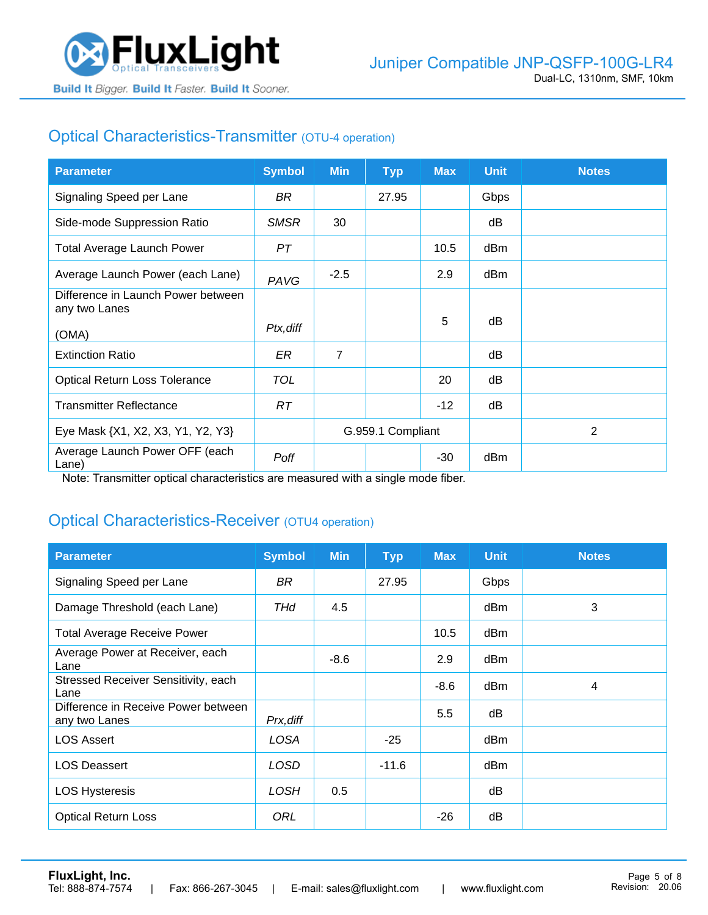

# Optical Characteristics-Transmitter (OTU-4 operation)

| <b>Parameter</b>                                    | <b>Symbol</b> | <b>Min</b>        | <b>Typ</b> | <b>Max</b> | <b>Unit</b> | <b>Notes</b> |
|-----------------------------------------------------|---------------|-------------------|------------|------------|-------------|--------------|
| Signaling Speed per Lane                            | BR.           |                   | 27.95      |            | Gbps        |              |
| Side-mode Suppression Ratio                         | <b>SMSR</b>   | 30                |            |            | dB          |              |
| <b>Total Average Launch Power</b>                   | PT            |                   |            | 10.5       | dBm         |              |
| Average Launch Power (each Lane)                    | PAVG          | $-2.5$            |            | 2.9        | dBm         |              |
| Difference in Launch Power between<br>any two Lanes |               |                   |            |            |             |              |
| (OMA)                                               | Ptx, diff     |                   |            | 5          | dB          |              |
| <b>Extinction Ratio</b>                             | ER            | $\overline{7}$    |            |            | dB          |              |
| <b>Optical Return Loss Tolerance</b>                | <b>TOL</b>    |                   |            | 20         | dB          |              |
| <b>Transmitter Reflectance</b>                      | RT.           |                   |            | $-12$      | dB          |              |
| Eye Mask {X1, X2, X3, Y1, Y2, Y3}                   |               | G.959.1 Compliant |            |            |             | 2            |
| Average Launch Power OFF (each<br>Lane)             | Poff          |                   |            | $-30$      | dBm         |              |

Note: Transmitter optical characteristics are measured with a single mode fiber.

### Optical Characteristics-Receiver (OTU4 operation)

| <b>Parameter</b>                                     | <b>Symbol</b> | <b>Min</b> | <b>Typ</b> | <b>Max</b> | <b>Unit</b> | <b>Notes</b> |
|------------------------------------------------------|---------------|------------|------------|------------|-------------|--------------|
| Signaling Speed per Lane                             | BR            |            | 27.95      |            | Gbps        |              |
| Damage Threshold (each Lane)                         | THd           | 4.5        |            |            | dBm         | 3            |
| <b>Total Average Receive Power</b>                   |               |            |            | 10.5       | dBm         |              |
| Average Power at Receiver, each<br>Lane              |               | $-8.6$     |            | 2.9        | dBm         |              |
| Stressed Receiver Sensitivity, each<br>Lane          |               |            |            | $-8.6$     | dBm         | 4            |
| Difference in Receive Power between<br>any two Lanes | Prx, diff     |            |            | 5.5        | dB          |              |
| <b>LOS Assert</b>                                    | LOSA          |            | $-25$      |            | dBm         |              |
| <b>LOS Deassert</b>                                  | LOSD          |            | $-11.6$    |            | dBm         |              |
| <b>LOS Hysteresis</b>                                | <b>LOSH</b>   | 0.5        |            |            | dB          |              |
| <b>Optical Return Loss</b>                           | ORL           |            |            | $-26$      | dB          |              |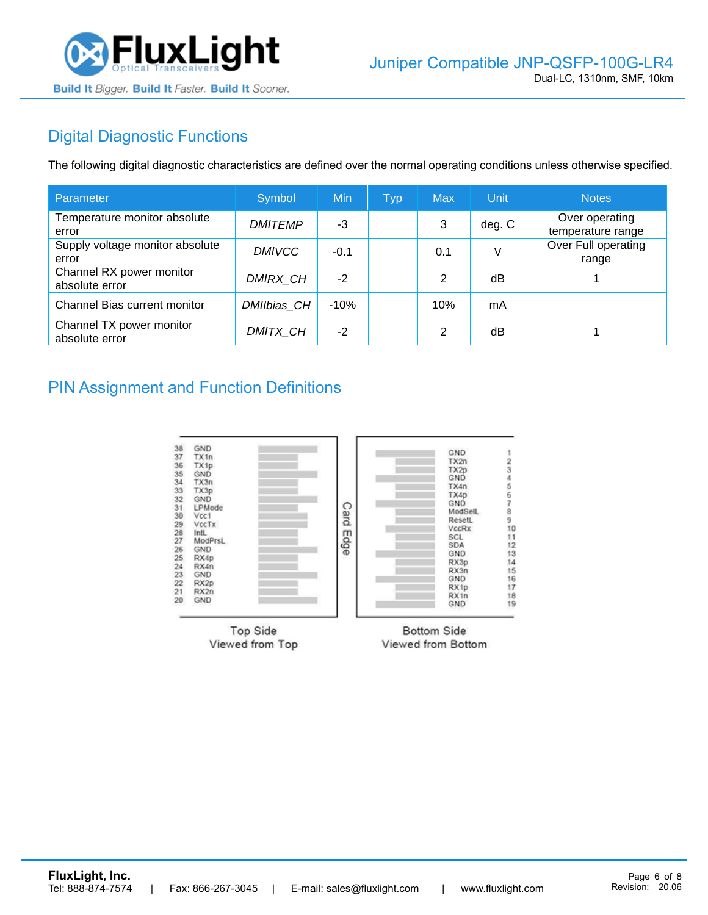

# Digital Diagnostic Functions

The following digital diagnostic characteristics are defined over the normal operating conditions unless otherwise specified.

| Parameter                                  | Symbol         | Min    | <b>Typ</b> | <b>Max</b>     | Unit   | <b>Notes</b>                        |
|--------------------------------------------|----------------|--------|------------|----------------|--------|-------------------------------------|
| Temperature monitor absolute<br>error      | <b>DMITEMP</b> | -3     |            | 3              | deg. C | Over operating<br>temperature range |
| Supply voltage monitor absolute<br>error   | <b>DMIVCC</b>  | $-0.1$ |            | 0.1            | V      | Over Full operating<br>range        |
| Channel RX power monitor<br>absolute error | DMIRX_CH       | $-2$   |            | 2              | dB     |                                     |
| Channel Bias current monitor               | DMIIbias_CH    | $-10%$ |            | 10%            | mA     |                                     |
| Channel TX power monitor<br>absolute error | DMITX_CH       | $-2$   |            | $\mathfrak{p}$ | dB     |                                     |

#### PIN Assignment and Function Definitions

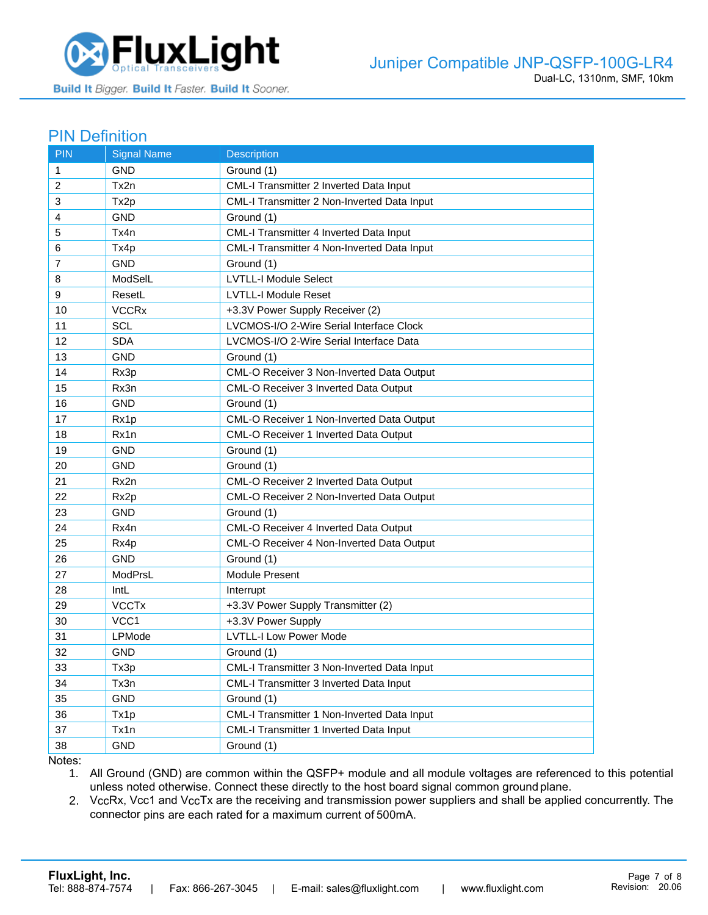

#### PIN Definition

| <b>PIN</b>     | <b>Signal Name</b>      | Description                                      |
|----------------|-------------------------|--------------------------------------------------|
| 1              | <b>GND</b>              | Ground (1)                                       |
| 2              | Tx2n                    | CML-I Transmitter 2 Inverted Data Input          |
| 3              | Tx2p                    | CML-I Transmitter 2 Non-Inverted Data Input      |
| 4              | <b>GND</b>              | Ground (1)                                       |
| 5              | Tx4n                    | CML-I Transmitter 4 Inverted Data Input          |
| 6              | Tx4p                    | CML-I Transmitter 4 Non-Inverted Data Input      |
| $\overline{7}$ | GND                     | Ground (1)                                       |
| 8              | ModSelL                 | <b>LVTLL-I Module Select</b>                     |
| 9              | ResetL                  | <b>LVTLL-I Module Reset</b>                      |
| 10             | <b>VCCR<sub>x</sub></b> | +3.3V Power Supply Receiver (2)                  |
| 11             | <b>SCL</b>              | LVCMOS-I/O 2-Wire Serial Interface Clock         |
| 12             | <b>SDA</b>              | LVCMOS-I/O 2-Wire Serial Interface Data          |
| 13             | <b>GND</b>              | Ground (1)                                       |
| 14             | Rx3p                    | CML-O Receiver 3 Non-Inverted Data Output        |
| 15             | Rx3n                    | CML-O Receiver 3 Inverted Data Output            |
| 16             | <b>GND</b>              | Ground (1)                                       |
| 17             | Rx1p                    | <b>CML-O Receiver 1 Non-Inverted Data Output</b> |
| 18             | Rx1n                    | CML-O Receiver 1 Inverted Data Output            |
| 19             | <b>GND</b>              | Ground (1)                                       |
| 20             | <b>GND</b>              | Ground (1)                                       |
| 21             | Rx2n                    | <b>CML-O Receiver 2 Inverted Data Output</b>     |
| 22             | Rx <sub>2</sub> p       | CML-O Receiver 2 Non-Inverted Data Output        |
| 23             | <b>GND</b>              | Ground (1)                                       |
| 24             | Rx4n                    | CML-O Receiver 4 Inverted Data Output            |
| 25             | Rx4p                    | CML-O Receiver 4 Non-Inverted Data Output        |
| 26             | <b>GND</b>              | Ground (1)                                       |
| 27             | ModPrsL                 | Module Present                                   |
| 28             | IntL                    | Interrupt                                        |
| 29             | <b>VCCTx</b>            | +3.3V Power Supply Transmitter (2)               |
| 30             | VCC <sub>1</sub>        | +3.3V Power Supply                               |
| 31             | LPMode                  | <b>LVTLL-I Low Power Mode</b>                    |
| 32             | <b>GND</b>              | Ground (1)                                       |
| 33             | Tx3p                    | CML-I Transmitter 3 Non-Inverted Data Input      |
| 34             | Tx3n                    | CML-I Transmitter 3 Inverted Data Input          |
| 35             | <b>GND</b>              | Ground (1)                                       |
| 36             | Tx1p                    | CML-I Transmitter 1 Non-Inverted Data Input      |
| 37             | Tx1n                    | CML-I Transmitter 1 Inverted Data Input          |
| 38             | <b>GND</b>              | Ground (1)                                       |

Notes:

1. All Ground (GND) are common within the QSFP+ module and all module voltages are referenced to this potential unless noted otherwise. Connect these directly to the host board signal common ground plane.

2. VccRx, Vcc1 and VccTx are the receiving and transmission power suppliers and shall be applied concurrently. The connector pins are each rated for a maximum current of 500mA.